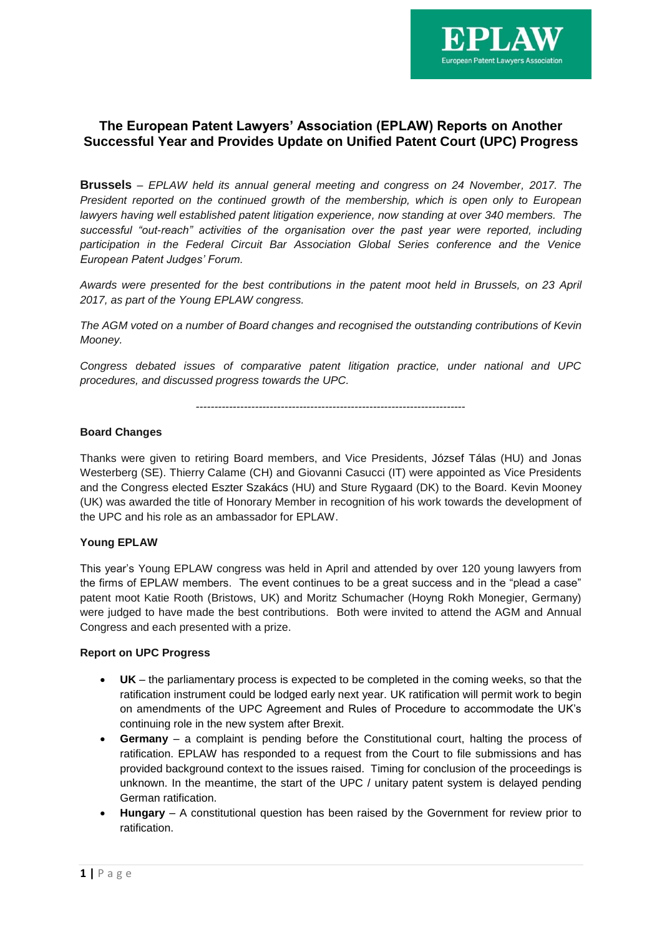

# **The European Patent Lawyers' Association (EPLAW) Reports on Another Successful Year and Provides Update on Unified Patent Court (UPC) Progress**

**Brussels** – *EPLAW held its annual general meeting and congress on 24 November, 2017. The President reported on the continued growth of the membership, which is open only to European lawyers having well established patent litigation experience, now standing at over 340 members. The successful "out-reach" activities of the organisation over the past year were reported, including participation in the Federal Circuit Bar Association Global Series conference and the Venice European Patent Judges' Forum.*

*Awards were presented for the best contributions in the patent moot held in Brussels, on 23 April 2017, as part of the Young EPLAW congress.*

*The AGM voted on a number of Board changes and recognised the outstanding contributions of Kevin Mooney.*

*Congress debated issues of comparative patent litigation practice, under national and UPC procedures, and discussed progress towards the UPC.* 

*-------------------------------------------------------------------------*

## **Board Changes**

Thanks were given to retiring Board members, and Vice Presidents, [József](https://sarandpartners.hu/en/our-attorneys/jozsef-k-talas/) Tálas (HU) and Jonas Westerberg (SE). Thierry Calame (CH) and Giovanni Casucci (IT) were appointed as Vice Presidents and the Congress elected Eszter [Szakács](https://sarandpartners.hu/en/our-attorneys/eszter-szakacs/) (HU) and Sture Rygaard (DK) to the Board. Kevin Mooney (UK) was awarded the title of Honorary Member in recognition of his work towards the development of the UPC and his role as an ambassador for EPLAW.

## **Young EPLAW**

This year's Young EPLAW congress was held in April and attended by over 120 young lawyers from the firms of EPLAW members. The event continues to be a great success and in the "plead a case" patent moot Katie Rooth (Bristows, UK) and Moritz Schumacher (Hoyng Rokh Monegier, Germany) were judged to have made the best contributions. Both were invited to attend the AGM and Annual Congress and each presented with a prize.

## **Report on UPC Progress**

- **UK**  the parliamentary process is expected to be completed in the coming weeks, so that the ratification instrument could be lodged early next year. UK ratification will permit work to begin on amendments of the UPC Agreement and Rules of Procedure to accommodate the UK's continuing role in the new system after Brexit.
- **Germany** a complaint is pending before the Constitutional court, halting the process of ratification. EPLAW has responded to a request from the Court to file submissions and has provided background context to the issues raised. Timing for conclusion of the proceedings is unknown. In the meantime, the start of the UPC / unitary patent system is delayed pending German ratification.
- **Hungary** A constitutional question has been raised by the Government for review prior to ratification.